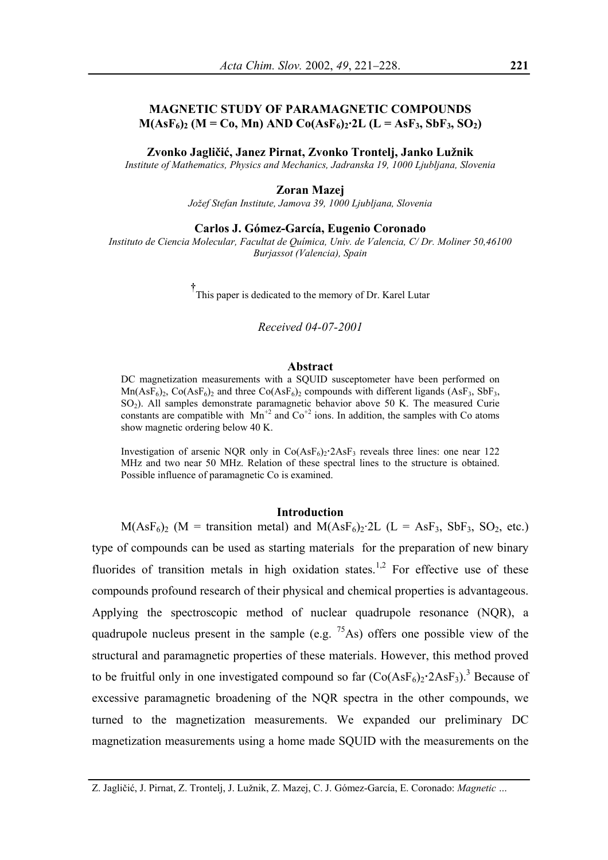# **MAGNETIC STUDY OF PARAMAGNETIC COMPOUNDS**   $M(AsF<sub>6</sub>)<sub>2</sub>$  (M = Co, Mn) AND Co(AsF<sub>6</sub>)<sub>2</sub>·2L (L = AsF<sub>3</sub>, SbF<sub>3</sub>, SO<sub>2</sub>)

### **Zvonko Jagličić, Janez Pirnat, Zvonko Trontelj, Janko Lužnik**

*Institute of Mathematics, Physics and Mechanics, Jadranska 19, 1000 Ljubljana, Slovenia* 

## **Zoran Mazej**

*Jožef Stefan Institute, Jamova 39, 1000 Ljubljana, Slovenia* 

# **Carlos J. Gómez-García, Eugenio Coronado**

*Instituto de Ciencia Molecular, Facultat de Química, Univ. de Valencia, C/ Dr. Moliner 50,46100 Burjassot (Valencia), Spain* 

**†** This paper is dedicated to the memory of Dr. Karel Lutar

*Received 04-07-2001* 

### **Abstract**

DC magnetization measurements with a SQUID susceptometer have been performed on  $Mn(AsF<sub>6</sub>)<sub>2</sub>$ , Co(AsF<sub>6</sub>)<sub>2</sub> and three Co(AsF<sub>6</sub>)<sub>2</sub> compounds with different ligands (AsF<sub>3</sub>, SbF<sub>3</sub>, SO<sub>2</sub>). All samples demonstrate paramagnetic behavior above 50 K. The measured Curie constants are compatible with  $Mn^{+2}$  and  $Co^{+2}$  ions. In addition, the samples with Co atoms show magnetic ordering below 40 K.

Investigation of arsenic NQR only in  $Co(AsF<sub>6</sub>)<sub>2</sub>·2AsF<sub>3</sub>$  reveals three lines: one near 122 MHz and two near 50 MHz. Relation of these spectral lines to the structure is obtained. Possible influence of paramagnetic Co is examined.

# **Introduction**

 $M(AsF<sub>6</sub>)<sub>2</sub>$  (M = transition metal) and  $M(AsF<sub>6</sub>)<sub>2</sub>$  (L = AsF<sub>3</sub>, SbF<sub>3</sub>, SO<sub>2</sub>, etc.) type of compounds can be used as starting materials for the preparation of new binary fluorides of transition metals in high oxidation states.<sup>1,2</sup> For effective use of these compounds profound research of their physical and chemical properties is advantageous. Applying the spectroscopic method of nuclear quadrupole resonance (NQR), a quadrupole nucleus present in the sample (e.g.  $75\text{As}$ ) offers one possible view of the structural and paramagnetic properties of these materials. However, this method proved to be fruitful only in one investigated compound so far  $(Co(AsF<sub>6</sub>)<sub>2</sub>·2AsF<sub>3</sub>)$ .<sup>3</sup> Because of excessive paramagnetic broadening of the NQR spectra in the other compounds, we turned to the magnetization measurements. We expanded our preliminary DC magnetization measurements using a home made SQUID with the measurements on the

Z. Jagličić, J. Pirnat, Z. Trontelj, J. Lužnik, Z. Mazej, C. J. Gómez-García, E. Coronado: *Magnetic …*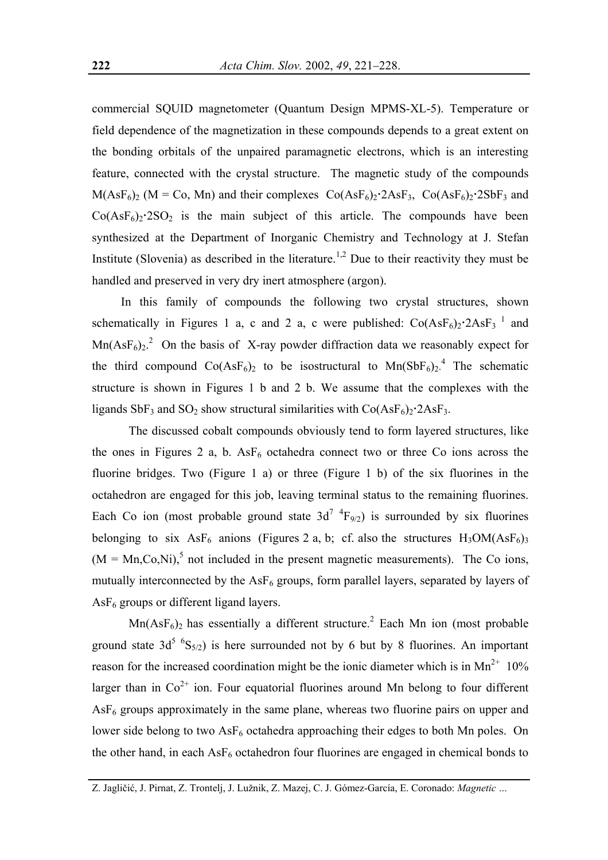commercial SQUID magnetometer (Quantum Design MPMS-XL-5). Temperature or field dependence of the magnetization in these compounds depends to a great extent on the bonding orbitals of the unpaired paramagnetic electrons, which is an interesting feature, connected with the crystal structure. The magnetic study of the compounds  $M(AsF<sub>6</sub>)<sub>2</sub>$  (M = Co, Mn) and their complexes  $Co(AsF<sub>6</sub>)<sub>2</sub>$  $2AsF<sub>3</sub>$ ,  $Co(AsF<sub>6</sub>)<sub>2</sub>$  $2SbF<sub>3</sub>$  and  $Co(AsF<sub>6</sub>)<sub>2</sub>·2SO<sub>2</sub>$  is the main subject of this article. The compounds have been synthesized at the Department of Inorganic Chemistry and Technology at J. Stefan Institute (Slovenia) as described in the literature.<sup>1,2</sup> Due to their reactivity they must be handled and preserved in very dry inert atmosphere (argon).

In this family of compounds the following two crystal structures, shown schematically in Figures 1 a, c and 2 a, c were published:  $Co(AsF<sub>6</sub>)<sub>2</sub>·2AsF<sub>3</sub>$ <sup>1</sup> and  $Mn(AsF<sub>6</sub>)<sub>2</sub>$ .<sup>2</sup> On the basis of X-ray powder diffraction data we reasonably expect for the third compound  $Co(AsF_6)_2$  to be isostructural to  $Mn(SbF_6)_2$ <sup>4</sup> The schematic structure is shown in Figures 1 b and 2 b. We assume that the complexes with the ligands  $SbF_3$  and  $SO_2$  show structural similarities with  $Co(AsF_6)_2$ <sup>-</sup> $2AsF_3$ .

The discussed cobalt compounds obviously tend to form layered structures, like the ones in Figures 2 a, b.  $\text{AsF}_6$  octahedra connect two or three Co ions across the fluorine bridges. Two (Figure 1 a) or three (Figure 1 b) of the six fluorines in the octahedron are engaged for this job, leaving terminal status to the remaining fluorines. Each Co ion (most probable ground state  $3d^{7-4}F_{9/2}$ ) is surrounded by six fluorines belonging to six  $\text{AsF}_6$  anions (Figures 2 a, b; cf. also the structures  $\text{H}_3\text{OM}(\text{AsF}_6)_{3}$  $(M = Mn, Co, Ni)$ , not included in the present magnetic measurements). The Co ions, mutually interconnected by the  $\text{AsF}_6$  groups, form parallel layers, separated by layers of  $AsF<sub>6</sub>$  groups or different ligand layers.

 $Mn(AsF<sub>6</sub>)<sub>2</sub>$  has essentially a different structure.<sup>2</sup> Each Mn ion (most probable ground state 3d<sup>5 6</sup>S<sub>5/2</sub>) is here surrounded not by 6 but by 8 fluorines. An important reason for the increased coordination might be the ionic diameter which is in  $Mn^{2+}$  10% larger than in  $Co<sup>2+</sup>$  ion. Four equatorial fluorines around Mn belong to four different  $\text{AsF}_6$  groups approximately in the same plane, whereas two fluorine pairs on upper and lower side belong to two  $\text{AsF}_6$  octahedra approaching their edges to both Mn poles. On the other hand, in each  $\text{AsF}_6$  octahedron four fluorines are engaged in chemical bonds to

Z. Jagličić, J. Pirnat, Z. Trontelj, J. Lužnik, Z. Mazej, C. J. Gómez-García, E. Coronado: *Magnetic …*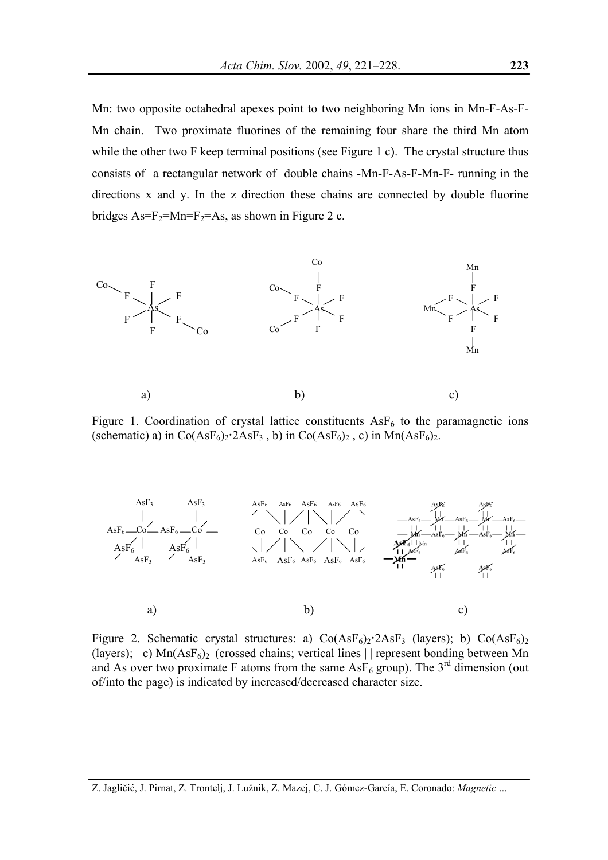Mn: two opposite octahedral apexes point to two neighboring Mn ions in Mn-F-As-F-Mn chain. Two proximate fluorines of the remaining four share the third Mn atom while the other two F keep terminal positions (see Figure 1 c). The crystal structure thus consists of a rectangular network of double chains -Mn-F-As-F-Mn-F- running in the directions x and y. In the z direction these chains are connected by double fluorine bridges  $As = F_2 = Mn = F_2 = As$ , as shown in Figure 2 c.



a) b) c)

Figure 1. Coordination of crystal lattice constituents  $\text{AsF}_6$  to the paramagnetic ions (schematic) a) in  $Co(AsF<sub>6</sub>)<sub>2</sub>·2AsF<sub>3</sub>$ , b) in  $Co(AsF<sub>6</sub>)<sub>2</sub>$ , c) in  $Mn(AsF<sub>6</sub>)<sub>2</sub>$ .



Figure 2. Schematic crystal structures: a)  $Co(AsF<sub>6</sub>)<sub>2</sub>·2AsF<sub>3</sub>$  (layers); b)  $Co(AsF<sub>6</sub>)<sub>2</sub>$ (layers); c)  $Mn(AsF<sub>6</sub>)<sub>2</sub>$  (crossed chains; vertical lines | | represent bonding between Mn and As over two proximate F atoms from the same  $\text{AsF}_6$  group). The 3<sup>rd</sup> dimension (out of/into the page) is indicated by increased/decreased character size.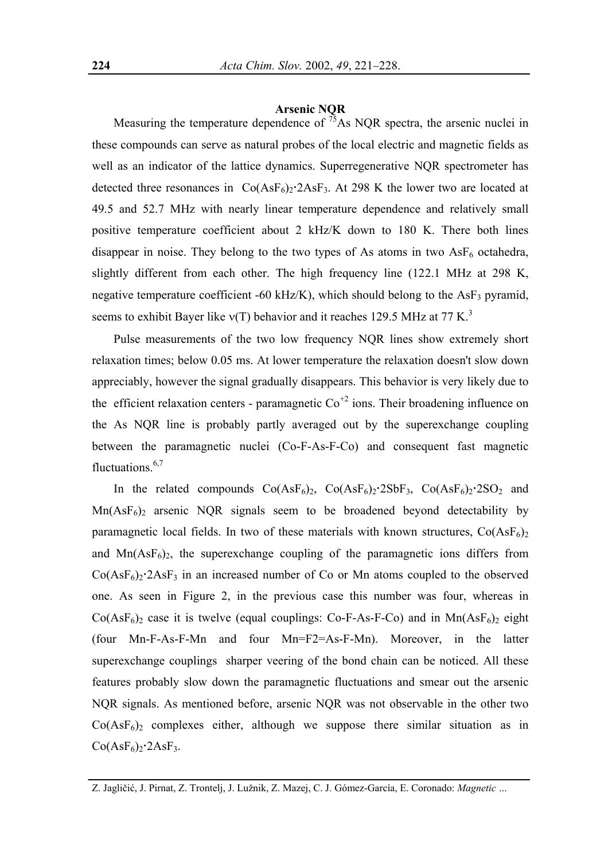# **Arsenic NQR**

Measuring the temperature dependence of  $^{75}$ As NQR spectra, the arsenic nuclei in these compounds can serve as natural probes of the local electric and magnetic fields as well as an indicator of the lattice dynamics. Superregenerative NQR spectrometer has detected three resonances in  $Co(AsF<sub>6</sub>)<sub>2</sub>·2AsF<sub>3</sub>$ . At 298 K the lower two are located at 49.5 and 52.7 MHz with nearly linear temperature dependence and relatively small positive temperature coefficient about 2 kHz/K down to 180 K. There both lines disappear in noise. They belong to the two types of As atoms in two  $\text{AsF}_6$  octahedra, slightly different from each other. The high frequency line (122.1 MHz at 298 K, negative temperature coefficient -60 kHz/K), which should belong to the  $\text{AsF}_3$  pyramid, seems to exhibit Bayer like  $v(T)$  behavior and it reaches 129.5 MHz at 77 K.<sup>3</sup>

Pulse measurements of the two low frequency NQR lines show extremely short relaxation times; below 0.05 ms. At lower temperature the relaxation doesn't slow down appreciably, however the signal gradually disappears. This behavior is very likely due to the efficient relaxation centers - paramagnetic  $\text{Co}^{+2}$  ions. Their broadening influence on the As NQR line is probably partly averaged out by the superexchange coupling between the paramagnetic nuclei (Co-F-As-F-Co) and consequent fast magnetic fluctuations.<sup>6,7</sup>

In the related compounds  $Co(AsF<sub>6</sub>)<sub>2</sub>$ ,  $Co(AsF<sub>6</sub>)<sub>2</sub>$ ,  $2SbF<sub>3</sub>$ ,  $Co(AsF<sub>6</sub>)<sub>2</sub>$ ,  $2SO<sub>2</sub>$  and  $Mn(AsF<sub>6</sub>)<sub>2</sub>$  arsenic NQR signals seem to be broadened beyond detectability by paramagnetic local fields. In two of these materials with known structures,  $Co(AsF<sub>6</sub>)<sub>2</sub>$ and  $Mn(AsF<sub>6</sub>)<sub>2</sub>$ , the superexchange coupling of the paramagnetic ions differs from  $Co(AsF<sub>6</sub>)<sub>2</sub>·2AsF<sub>3</sub>$  in an increased number of Co or Mn atoms coupled to the observed one. As seen in Figure 2, in the previous case this number was four, whereas in  $Co(AsF<sub>6</sub>)<sub>2</sub>$  case it is twelve (equal couplings: Co-F-As-F-Co) and in Mn(AsF<sub>6</sub>)<sub>2</sub> eight (four Mn-F-As-F-Mn and four Mn=F2=As-F-Mn). Moreover, in the latter superexchange couplings sharper veering of the bond chain can be noticed. All these features probably slow down the paramagnetic fluctuations and smear out the arsenic NQR signals. As mentioned before, arsenic NQR was not observable in the other two  $Co(AsF<sub>6</sub>)<sub>2</sub>$  complexes either, although we suppose there similar situation as in  $Co(AsF<sub>6</sub>)<sub>2</sub>·2AsF<sub>3</sub>$ .

Z. Jagličić, J. Pirnat, Z. Trontelj, J. Lužnik, Z. Mazej, C. J. Gómez-García, E. Coronado: *Magnetic …*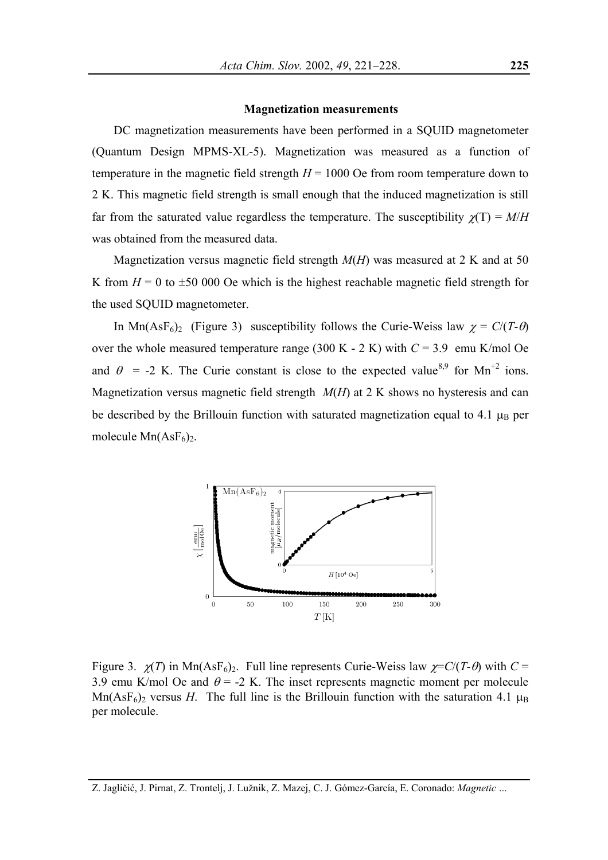# **Magnetization measurements**

DC magnetization measurements have been performed in a SQUID magnetometer (Quantum Design MPMS-XL-5). Magnetization was measured as a function of temperature in the magnetic field strength  $H = 1000$  Oe from room temperature down to 2 K. This magnetic field strength is small enough that the induced magnetization is still far from the saturated value regardless the temperature. The susceptibility  $\chi(T) = M/H$ was obtained from the measured data.

Magnetization versus magnetic field strength *M*(*H*) was measured at 2 K and at 50 K from  $H = 0$  to  $\pm 50$  000 Oe which is the highest reachable magnetic field strength for the used SQUID magnetometer.

In Mn(AsF<sub>6</sub>)<sub>2</sub> (Figure 3) susceptibility follows the Curie-Weiss law  $\chi = C/(T-\theta)$ over the whole measured temperature range  $(300 \text{ K} - 2 \text{ K})$  with  $C = 3.9$  emu K/mol Oe and  $\theta$  = -2 K. The Curie constant is close to the expected value<sup>8,9</sup> for Mn<sup>+2</sup> ions. Magnetization versus magnetic field strength *M*(*H*) at 2 K shows no hysteresis and can be described by the Brillouin function with saturated magnetization equal to 4.1  $\mu_B$  per molecule  $Mn(AsF<sub>6</sub>)<sub>2</sub>$ .



Figure 3.  $\chi(T)$  in Mn(AsF<sub>6</sub>)<sub>2</sub>. Full line represents Curie-Weiss law  $\chi = C/(T - \theta)$  with  $C =$ 3.9 emu K/mol Oe and  $\theta$  = -2 K. The inset represents magnetic moment per molecule Mn(AsF<sub>6</sub>)<sub>2</sub> versus *H*. The full line is the Brillouin function with the saturation 4.1  $\mu_B$ per molecule.

Z. Jagličić, J. Pirnat, Z. Trontelj, J. Lužnik, Z. Mazej, C. J. Gómez-García, E. Coronado: *Magnetic …*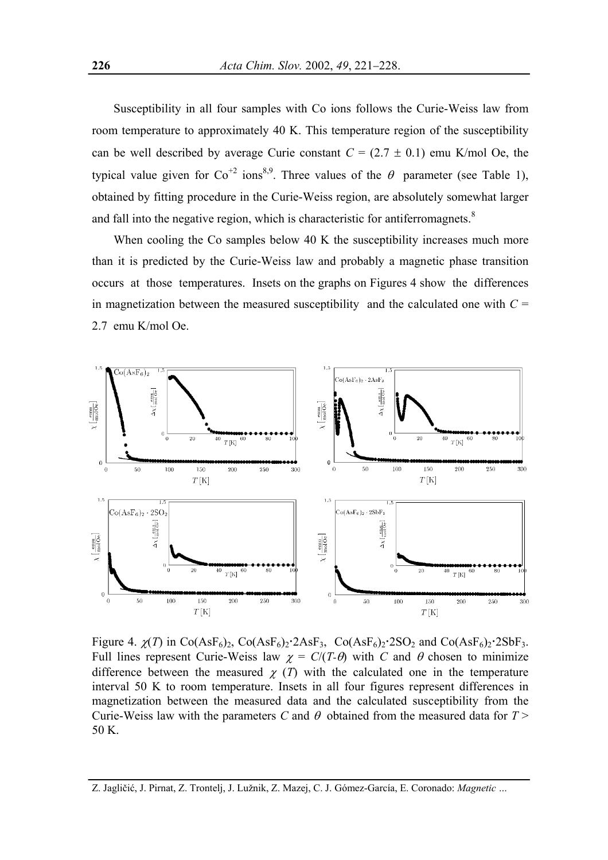Susceptibility in all four samples with Co ions follows the Curie-Weiss law from room temperature to approximately 40 K. This temperature region of the susceptibility can be well described by average Curie constant  $C = (2.7 \pm 0.1)$  emu K/mol Oe, the typical value given for  $Co^{+2}$  ions<sup>8,9</sup>. Three values of the  $\theta$  parameter (see Table 1), obtained by fitting procedure in the Curie-Weiss region, are absolutely somewhat larger and fall into the negative region, which is characteristic for antiferromagnets. $8$ 

When cooling the Co samples below 40 K the susceptibility increases much more than it is predicted by the Curie-Weiss law and probably a magnetic phase transition occurs at those temperatures. Insets on the graphs on Figures 4 show the differences in magnetization between the measured susceptibility and the calculated one with  $C =$ 2.7 emu K/mol Oe.



Figure 4.  $\chi(T)$  in Co(AsF<sub>6</sub>)<sub>2</sub>, Co(AsF<sub>6</sub>)<sub>2</sub>, 2AsF<sub>3</sub>, Co(AsF<sub>6</sub>)<sub>2</sub>, 2SO<sub>2</sub> and Co(AsF<sub>6</sub>)<sub>2</sub>, 2SbF<sub>3</sub>. Full lines represent Curie-Weiss law  $\chi = C/(T \cdot \theta)$  with *C* and  $\theta$  chosen to minimize difference between the measured  $\chi(T)$  with the calculated one in the temperature interval 50 K to room temperature. Insets in all four figures represent differences in magnetization between the measured data and the calculated susceptibility from the Curie-Weiss law with the parameters *C* and  $\theta$  obtained from the measured data for  $T$  > 50 K.

Z. Jagličić, J. Pirnat, Z. Trontelj, J. Lužnik, Z. Mazej, C. J. Gómez-García, E. Coronado: *Magnetic …*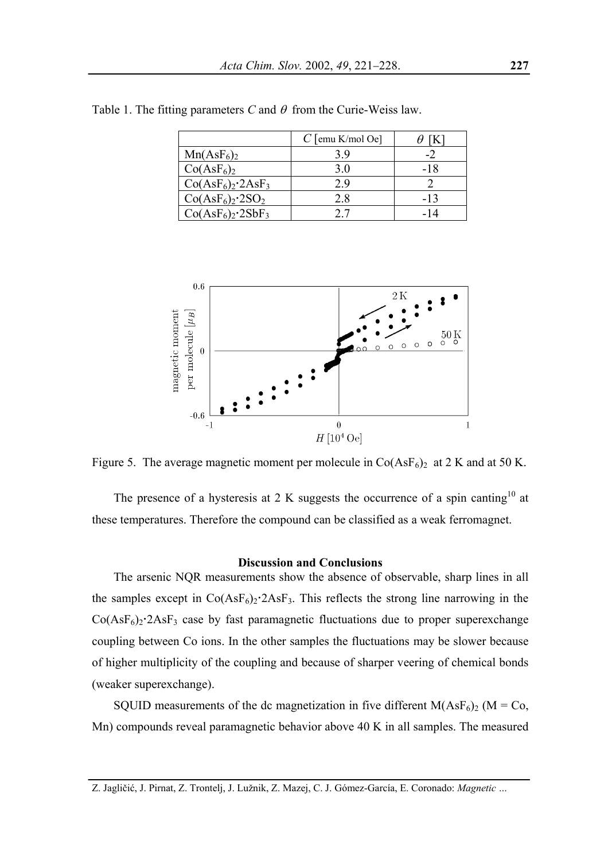|                                    | $C$ [emu K/mol Oe] |       |
|------------------------------------|--------------------|-------|
| $Mn(AsF_6)_2$                      | 39                 |       |
| Co(AsF <sub>6</sub> ) <sub>2</sub> | 3.0                | -18   |
| $Co(AsF6)2·2AsF3$                  | 29                 |       |
| $Co(AsF6)2·2SO2$                   | 28                 | $-13$ |
| $Co(AsF6)2·2SbF3$                  |                    | -14   |

Table 1. The fitting parameters *C* and  $\theta$  from the Curie-Weiss law.



Figure 5. The average magnetic moment per molecule in  $Co(AsF<sub>6</sub>)<sub>2</sub>$  at 2 K and at 50 K.

The presence of a hysteresis at 2 K suggests the occurrence of a spin canting<sup>10</sup> at these temperatures. Therefore the compound can be classified as a weak ferromagnet.

# **Discussion and Conclusions**

The arsenic NQR measurements show the absence of observable, sharp lines in all the samples except in  $Co(AsF<sub>6</sub>)<sub>2</sub>·2AsF<sub>3</sub>$ . This reflects the strong line narrowing in the  $Co(AsF<sub>6</sub>)<sub>2</sub>·2AsF<sub>3</sub>$  case by fast paramagnetic fluctuations due to proper superexchange coupling between Co ions. In the other samples the fluctuations may be slower because of higher multiplicity of the coupling and because of sharper veering of chemical bonds (weaker superexchange).

SQUID measurements of the dc magnetization in five different  $M(AsF_6)_2$  (M = Co, Mn) compounds reveal paramagnetic behavior above 40 K in all samples. The measured

Z. Jagličić, J. Pirnat, Z. Trontelj, J. Lužnik, Z. Mazej, C. J. Gómez-García, E. Coronado: *Magnetic …*